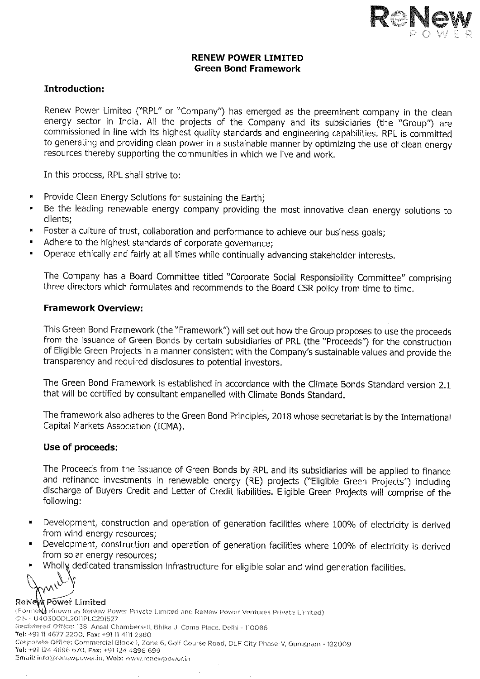

## RENEW POWER LTMITED Green Bond Framework

# Introduction:

Renew Power Limited ("RPL" or "company") has emerged as the preeminent company ìn the clean energy sector in India. All the projects of the Company and its subsidiaries (the "Group") are commìssioned in line with its highest quality standards and engineering capabilitìes, RPL is committed to generating and providing clean power in a sustainable manner by optimizing the use of clean energy resources thereby supporting the communities in which we live and work.

In this process, RPL shall strive to:

- Provide Clean Energy Solutions for sustaining the Earth;
- Be the leading renewable energy company providing the most innovative clean enerqy solutions to clients;
- Foster a culture of trust, collaboration and performance to achieve our business goals;
- Adhere to the highest standards of corporate governance;
- Operate ethically and fairly at all times while continually advancing stakeholder interests.

The Company has a Board Committee titled "Corporate Social Responsibility Committee" comprising three directors which formuìates and recommends to the Board csR policy from time to time,

### Framework Overview:

This Green Bond Framework (the "Framework") will set out how the Group proposes to use the proceeds from the issuance of Green Bonds by certain subsidiaries of PRL (the "Proceeds") for the construction of Eligible Green Projects in a manner consistent with the Company's sustainable values and provide the transparency and required disclosures to potential investors,

The Green Bond Framework is established in accordance with the Climate Bonds Standard version 2.1 that will be certified by consultant empanelled with Climate Bonds Standard.

The framework also adheres to the Green Bond Principles, 2018 whose secretariat is by the International Capital Markets Association (ICMA).

# Use of proceeds:

The Proceeds from the issuance of Green Bonds by RPL and its subsidiaries will be applied to finance and refinance investments in renewable energy (RE) projects ("Eligible Green Projects") including discharge of Buyers Credit and Letter of Credit iiabilities. Eligible Green Projects will comprise of thé following:

- Development, construction and operation of generation facilities where 100% of electricity is derived  $\blacksquare$ from wind energy resources;
- Development, construction and operation of generation facilities where 100% of electricity is derived<br>from solar energy resources;<br>• Wholly dedicated transmission infrastructure for eligible solar and wind generation fac
- 

 $\mathbb{R}$ 

#### ReNew Power Limited

(FormeNJ Known as ReNew Power Private Limited and ReNew Power Ventures Private Limited)<br>CIN - U4O300DL2011PLC291527 Registered Office: 138, Ansal Chambers-II, Bhika Ji Cama Place, Delhi - 110066<br>Tel: +91 11 4677 2200, Fax: +91 11 4111 2980<br>Corporate Office: Commercial Block-1, Zone 6, Golf Course Road, DLF City Phase-V, Gurugram - 12200 Email: info@renewpower.in, Web: www.renewpower.in